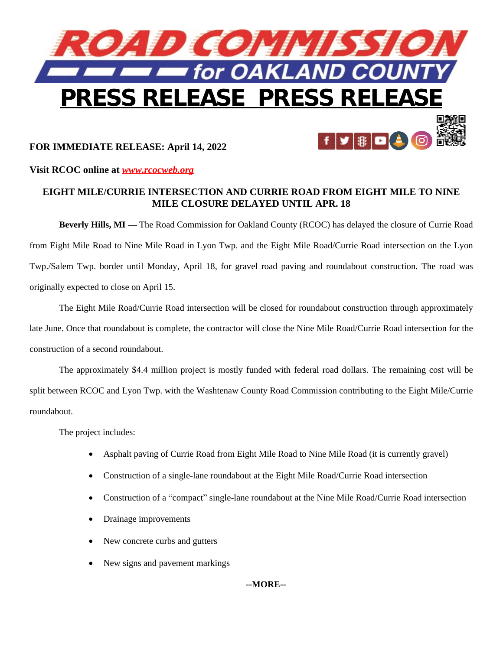

# **FOR IMMEDIATE RELEASE: April 14, 2022**

### **Visit RCOC online at** *[www.rcocweb.org](http://www.rcocweb.org)*

# **EIGHT MILE/CURRIE INTERSECTION AND CURRIE ROAD FROM EIGHT MILE TO NINE MILE CLOSURE DELAYED UNTIL APR. 18**

 $\mathbb{R}$ 

**Beverly Hills, MI —** The Road Commission for Oakland County (RCOC) has delayed the closure of Currie Road from Eight Mile Road to Nine Mile Road in Lyon Twp. and the Eight Mile Road/Currie Road intersection on the Lyon Twp./Salem Twp. border until Monday, April 18, for gravel road paving and roundabout construction. The road was originally expected to close on April 15.

The Eight Mile Road/Currie Road intersection will be closed for roundabout construction through approximately late June. Once that roundabout is complete, the contractor will close the Nine Mile Road/Currie Road intersection for the construction of a second roundabout.

The approximately \$4.4 million project is mostly funded with federal road dollars. The remaining cost will be split between RCOC and Lyon Twp. with the Washtenaw County Road Commission contributing to the Eight Mile/Currie roundabout.

The project includes:

- Asphalt paving of Currie Road from Eight Mile Road to Nine Mile Road (it is currently gravel)
- Construction of a single-lane roundabout at the Eight Mile Road/Currie Road intersection
- Construction of a "compact" single-lane roundabout at the Nine Mile Road/Currie Road intersection
- Drainage improvements
- New concrete curbs and gutters
- New signs and pavement markings

## **--MORE--**